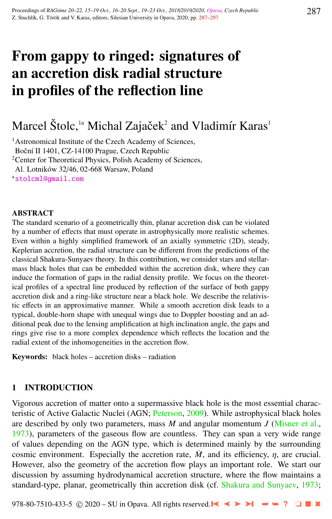# From gappy to ringed: signatures of an accretion disk radial structure in profiles of the reflection line

## Marcel Štolc,<sup>1a</sup> Michal Zajaček<sup>2</sup> and Vladimír Karas<sup>1</sup>

<sup>1</sup> Astronomical Institute of the Czech Academy of Sciences, Boční II 1401, CZ-14100 Prague, Czech Republic <sup>2</sup>Center for Theoretical Physics, Polish Academy of Sciences, Al. Lotników 32/46, 02-668 Warsaw, Poland a[stolcml@gmail.com](http://www.physics.cz/ stolcml@gmail.com)

#### **ABSTRACT**

The standard scenario of a geometrically thin, planar accretion disk can be violated by a number of effects that must operate in astrophysically more realistic schemes. Even within a highly simplified framework of an axially symmetric (2D), steady, Keplerian accretion, the radial structure can be different from the predictions of the classical Shakura-Sunyaev theory. In this contribution, we consider stars and stellarmass black holes that can be embedded within the accretion disk, where they can induce the formation of gaps in the radial density profile. We focus on the theoretical profiles of a spectral line produced by reflection of the surface of both gappy accretion disk and a ring-like structure near a black hole. We describe the relativistic effects in an approximative manner. While a smooth accretion disk leads to a typical, double-horn shape with unequal wings due to Doppler boosting and an additional peak due to the lensing amplification at high inclination angle, the gaps and rings give rise to a more complex dependence which reflects the location and the radial extent of the inhomogeneities in the accretion flow.

Keywords: black holes – accretion disks – radiation

#### 1 INTRODUCTION

Vigorous accretion of matter onto a supermassive black hole is the most essential characteristic of Active Galactic Nuclei (AGN; [Peterson,](#page-9-0) [2009\)](#page-9-0). While astrophysical black holes are described by only two parameters, mass *M* and angular momentum *J* [\(Misner et al.,](#page-9-0) [1973\)](#page-9-0), parameters of the gaseous flow are countless. They can span a very wide range of values depending on the AGN type, which is determined mainly by the surrounding cosmic environment. Especially the accretion rate,  $\dot{M}$ , and its efficiency,  $\eta$ , are crucial. However, also the geometry of the accretion flow plays an important role. We start our discussion by assuming hydrodynamical accretion structure, where the flow maintains a standard-type, planar, geometrically thin accretion disk (cf. [Shakura and Sunyaev,](#page-10-0) [1973;](#page-10-0)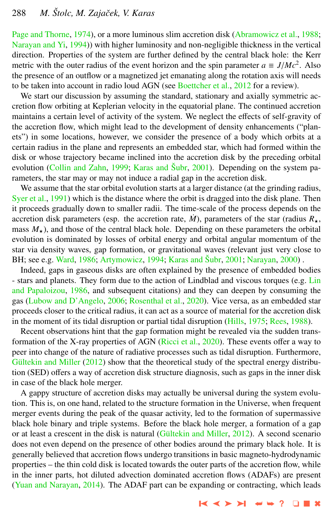[Page and Thorne,](#page-9-0) [1974\)](#page-9-0), or a more luminous slim accretion disk [\(Abramowicz et al.,](#page-8-0) [1988;](#page-8-0) [Narayan and Yi,](#page-9-0) [1994\)](#page-9-0)) with higher luminosity and non-negligible thickness in the vertical direction. Properties of the system are further defined by the central black hole: the Kerr metric with the outer radius of the event horizon and the spin parameter  $a \equiv J/Mc^2$ . Also<br>the presence of an outflow or a magnetized jet emanating along the rotation axis will needs the presence of an outflow or a magnetized jet emanating along the rotation axis will needs to be taken into account in radio loud AGN (see [Boettcher et al.,](#page-8-0) [2012](#page-8-0) for a review).

We start our discussion by assuming the standard, stationary and axially symmetric accretion flow orbiting at Keplerian velocity in the equatorial plane. The continued accretion maintains a certain level of activity of the system. We neglect the effects of self-gravity of the accretion flow, which might lead to the development of density enhancements ("planets") in some locations, however, we consider the presence of a body which orbits at a certain radius in the plane and represents an embedded star, which had formed within the disk or whose trajectory became inclined into the accretion disk by the preceding orbital evolution [\(Collin and Zahn,](#page-8-0) [1999;](#page-8-0) [Karas and](#page-9-0) Šubr, [2001\)](#page-9-0). Depending on the system parameters, the star may or may not induce a radial gap in the accretion disk.

We assume that the star orbital evolution starts at a larger distance (at the grinding radius, [Syer et al.,](#page-10-0) [1991\)](#page-10-0) which is the distance where the orbit is dragged into the disk plane. Then it proceeds gradually down to smaller radii. The time-scale of the process depends on the accretion disk parameters (esp. the accretion rate,  $\dot{M}$ ), parameters of the star (radius  $R_{\star}$ , mass  $M_{\star}$ ), and those of the central black hole. Depending on these parameters the orbital evolution is dominated by losses of orbital energy and orbital angular momentum of the star via density waves, gap formation, or gravitational waves (relevant just very close to BH; see e.g. [Ward,](#page-10-0) [1986;](#page-10-0) [Artymowicz,](#page-8-0) [1994;](#page-8-0) [Karas and](#page-9-0) Šubr, [2001;](#page-9-0) [Narayan,](#page-9-0) [2000\)](#page-9-0).

Indeed, gaps in gaseous disks are often explained by the presence of embedded bodies - stars and planets. They form due to the action of [Lin](#page-9-0)dblad and viscous torques (e.g. Lin [and Papaloizou,](#page-9-0) [1986,](#page-9-0) and subsequent citations) and they can deepen by consuming the gas [\(Lubow and D'Angelo,](#page-9-0) [2006;](#page-9-0) [Rosenthal et al.,](#page-10-0) [2020\)](#page-10-0). Vice versa, as an embedded star proceeds closer to the critical radius, it can act as a source of material for the accretion disk in the moment of its tidal disruption or partial tidal disruption [\(Hills,](#page-9-0) [1975;](#page-9-0) [Rees,](#page-9-0) [1988\)](#page-9-0).

Recent observations hint that the gap formation might be revealed via the sudden transformation of the X-ray properties of AGN [\(Ricci et al.,](#page-9-0) [2020\)](#page-9-0). These events offer a way to peer into change of the nature of radiative processes such as tidal disruption. Furthermore, Gültekin and Miller  $(2012)$  show that the theoretical study of the spectral energy distribution (SED) offers a way of accretion disk structure diagnosis, such as gaps in the inner disk in case of the black hole merger.

A gappy structure of accretion disks may actually be universal during the system evolution. This is, on one hand, related to the structure formation in the Universe, when frequent merger events during the peak of the quasar activity, led to the formation of supermassive black hole binary and triple systems. Before the black hole merger, a formation of a gap or at least a crescent in the disk is natural (Gültekin and Miller, [2012\)](#page-9-0). A second scenario does not even depend on the presence of other bodies around the primary black hole. It is generally believed that accretion flows undergo transitions in basic magneto-hydrodynamic properties – the thin cold disk is located towards the outer parts of the accretion flow, while in the inner parts, hot diluted advection dominated accretion flows (ADAFs) are present [\(Yuan and Narayan,](#page-10-0) [2014\)](#page-10-0). The ADAF part can be expanding or contracting, which leads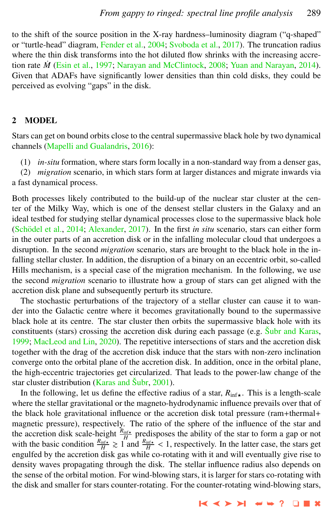to the shift of the source position in the X-ray hardness–luminosity diagram ("q-shaped" or "turtle-head" diagram, [Fender et al.,](#page-9-0) [2004;](#page-9-0) [Svoboda et al.,](#page-10-0) [2017\)](#page-10-0). The truncation radius where the thin disk transforms into the hot diluted flow shrinks with the increasing accretion rate *M*˙ [\(Esin et al.,](#page-9-0) [1997;](#page-9-0) [Narayan and McClintock,](#page-9-0) [2008;](#page-9-0) [Yuan and Narayan,](#page-10-0) [2014\)](#page-10-0). Given that ADAFs have significantly lower densities than thin cold disks, they could be perceived as evolving "gaps" in the disk.

#### 2 MODEL

Stars can get on bound orbits close to the central supermassive black hole by two dynamical channels [\(Mapelli and Gualandris,](#page-9-0) [2016\)](#page-9-0):

(1) *in-situ* formation, where stars form locally in a non-standard way from a denser gas,

(2) *migration* scenario, in which stars form at larger distances and migrate inwards via a fast dynamical process.

Both processes likely contributed to the build-up of the nuclear star cluster at the center of the Milky Way, which is one of the densest stellar clusters in the Galaxy and an ideal testbed for studying stellar dynamical processes close to the supermassive black hole (Schödel et al., [2014;](#page-10-0) [Alexander,](#page-8-0) [2017\)](#page-8-0). In the first *in situ* scenario, stars can either form in the outer parts of an accretion disk or in the infalling molecular cloud that undergoes a disruption. In the second *migration* scenario, stars are brought to the black hole in the infalling stellar cluster. In addition, the disruption of a binary on an eccentric orbit, so-called Hills mechanism, is a special case of the migration mechanism. In the following, we use the second *migration* scenario to illustrate how a group of stars can get aligned with the accretion disk plane and subsequently perturb its structure.

The stochastic perturbations of the trajectory of a stellar cluster can cause it to wander into the Galactic centre where it becomes gravitationally bound to the supermassive black hole at its centre. The star cluster then orbits the supermassive black hole with its constituents (stars) crossing the accretion disk during each passage (e.g. [Subr and Karas](#page-10-0), [1999;](#page-10-0) [MacLeod and Lin,](#page-9-0) [2020\)](#page-9-0). The repetitive intersections of stars and the accretion disk together with the drag of the accretion disk induce that the stars with non-zero inclination converge onto the orbital plane of the accretion disk. In addition, once in the orbital plane, the high-eccentric trajectories get circularized. That leads to the power-law change of the star cluster distribution [\(Karas and](#page-9-0) Šubr, [2001\)](#page-9-0).

In the following, let us define the effective radius of a star,  $R_{\text{inf}}$ . This is a length-scale where the stellar gravitational or the magneto-hydrodynamic influence prevails over that of the black hole gravitational influence or the accretion disk total pressure (ram+thermal+ magnetic pressure), respectively. The ratio of the sphere of the influence of the star and the accretion disk scale-height  $\frac{R_{\text{inf}}}{H}$  predisposes the ability of the star to form a gap or not with the basic condition  $\frac{R_{\text{inf}}}{H} \geq 1$  and  $\frac{R_{\text{inf}}}{H} < 1$ , respectively. In the latter case, the stars get<br>engulfed by the accretion disk gas while co-rotating with it and will eventually give rise to engulfed by the accretion disk gas while co-rotating with it and will eventually give rise to density waves propagating through the disk. The stellar influence radius also depends on the sense of the orbital motion. For wind-blowing stars, it is larger for stars co-rotating with the disk and smaller for stars counter-rotating. For the counter-rotating wind-blowing stars,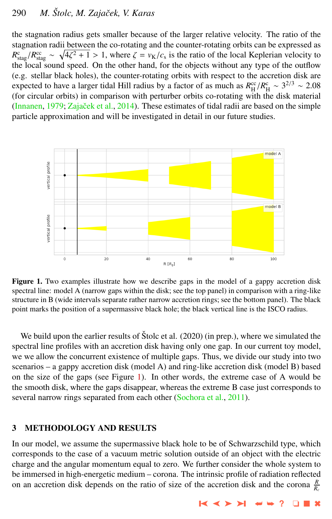## 290 *M. Stolc, M. Zajaˇcek, V. Karas ˇ*

the stagnation radius gets smaller because of the larger relative velocity. The ratio of the stagnation radii between the co-rotating and the counter-rotating orbits can be expressed as  $R_{\text{stag}}^c/R_{\text{stag}}^c \sim \sqrt{4\zeta^2 + 1} > 1$ , where  $\zeta = v_K/c_s$  is the ratio of the local Keplerian velocity to the local sound speed. On the other hand, for the objects without any type of the outflow the local sound speed. On the other hand, for the objects without any type of the outflow (e.g. stellar black holes), the counter-rotating orbits with respect to the accretion disk are expected to have a larger tidal Hill radius by a factor of as much as  $R_H^{\rm cc}/R_H^{\rm c} \sim 3^{2/3} \sim 2.08$ <br>(for circular orbits) in comparison with perturber orbits co-rotating with the disk material (for circular orbits) in comparison with perturber orbits co-rotating with the disk material [\(Innanen,](#page-9-0) [1979;](#page-9-0) Zajaček et al., [2014\)](#page-10-0). These estimates of tidal radii are based on the simple particle approximation and will be investigated in detail in our future studies.



Figure 1. Two examples illustrate how we describe gaps in the model of a gappy accretion disk spectral line: model A (narrow gaps within the disk; see the top panel) in comparison with a ring-like structure in B (wide intervals separate rather narrow accretion rings; see the bottom panel). The black point marks the position of a supermassive black hole; the black vertical line is the ISCO radius.

We build upon the earlier results of  $\text{Štolc}$  et al. (2020) (in prep.), where we simulated the spectral line profiles with an accretion disk having only one gap. In our current toy model, we we allow the concurrent existence of multiple gaps. Thus, we divide our study into two scenarios – a gappy accretion disk (model A) and ring-like accretion disk (model B) based on the size of the gaps (see Figure 1). In other words, the extreme case of A would be the smooth disk, where the gaps disappear, whereas the extreme B case just corresponds to several narrow rings separated from each other [\(Sochora et al.,](#page-10-0) [2011\)](#page-10-0).

#### 3 METHODOLOGY AND RESULTS

In our model, we assume the supermassive black hole to be of Schwarzschild type, which corresponds to the case of a vacuum metric solution outside of an object with the electric charge and the angular momentum equal to zero. We further consider the whole system to be immersed in high-energetic medium – corona. The intrinsic profile of radiation reflected on an accretion disk depends on the ratio of size of the accretion disk and the corona  $\frac{R}{R_c}$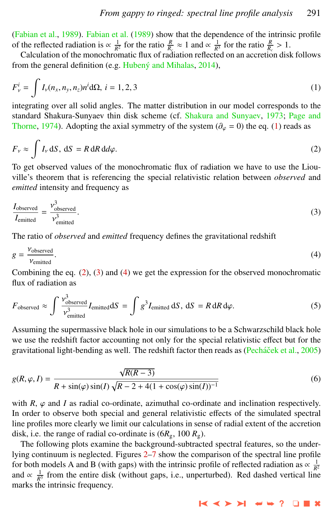[\(Fabian et al.,](#page-9-0) [1989\)](#page-9-0). [Fabian et al.](#page-9-0) [\(1989\)](#page-9-0) show that the dependence of the intrinsic profile of the reflected radiation is ∝  $\frac{1}{R^2}$  for the ratio  $\frac{R}{R_c}$  ≈ 1 and ∝  $\frac{1}{R^3}$  for the ratio  $\frac{R}{R_c}$  > 1.<br>Calculation of the monochromatic flux of radiation reflected on an accretion disk

Calculation of the monochromatic flux of radiation reflected on an accretion disk follows from the general definition (e.g. [Hubeny and Mihalas](#page-9-0),  $2014$ ),

$$
F_{\nu}^{i} = \int I_{\nu}(n_{x}, n_{y}, n_{z}) n^{i} d\Omega, \ i = 1, 2, 3
$$
 (1)

integrating over all solid angles. The matter distribution in our model corresponds to the standard Shakura-Sunyaev thin disk scheme (cf. [Shakura and Sunyaev,](#page-10-0) [1973;](#page-10-0) [Page and](#page-9-0) [Thorne,](#page-9-0) [1974\)](#page-9-0). Adopting the axial symmetry of the system ( $\partial_{\varphi} = 0$ ) the eq. (1) reads as

$$
F_{\nu} \approx \int I_{\nu} dS, dS = R dR d\varphi.
$$
 (2)

To get observed values of the monochromatic flux of radiation we have to use the Liouville's theorem that is referencing the special relativistic relation between *observed* and *emitted* intensity and frequency as

$$
\frac{I_{\text{observed}}}{I_{\text{emitted}}} = \frac{\nu_{\text{observed}}^3}{\nu_{\text{emitted}}^3}.
$$
\n(3)

The ratio of *observed* and *emitted* frequency defines the gravitational redshift

$$
g = \frac{\nu_{\text{observed}}}{\nu_{\text{emitted}}}. \tag{4}
$$

 $V_{emitted}$ <br>Combining the eq. (2), (3) and (4) we get the expression for the observed monochromatic flux of radiation as

$$
F_{\text{observed}} \approx \int \frac{v_{\text{observed}}^3}{v_{\text{emitted}}^3} I_{\text{emitted}} dS = \int g^3 I_{\text{emitted}} dS, dS = R dR d\varphi.
$$
 (5)

Assuming the supermassive black hole in our simulations to be a Schwarzschild black hole we use the redshift factor accounting not only for the special relativistic effect but for the gravitational light-bending as well. The redshift factor then reads as (Pecháček et al., [2005\)](#page-9-0)

$$
g(R, \varphi, I) = \frac{\sqrt{R(R-3)}}{R + \sin(\varphi)\sin(I)\sqrt{R - 2 + 4(1 + \cos(\varphi)\sin(I))^{-1}}}
$$
(6)

with  $R$ ,  $\varphi$  and *I* as radial co-ordinate, azimuthal co-ordinate and inclination respectively. In order to observe both special and general relativistic effects of the simulated spectral line profiles more clearly we limit our calculations in sense of radial extent of the accretion disk, i.e. the range of radial co-ordinate is  $(6R_g, 100 R_g)$ .

The following plots examine the background-subtracted spectral features, so the under-lying continuum is neglected. Figures [2](#page-5-0)[–7](#page-7-0) show the comparison of the spectral line profile for both models A and B (with gaps) with the intrinsic profile of reflected radiation as  $\propto \frac{1}{R^2}$  and  $\propto \frac{1}{R^3}$  from the entire disk (without gaps, i.e., unperturbed). Red dashed vertical line marks the intrinsic frequency.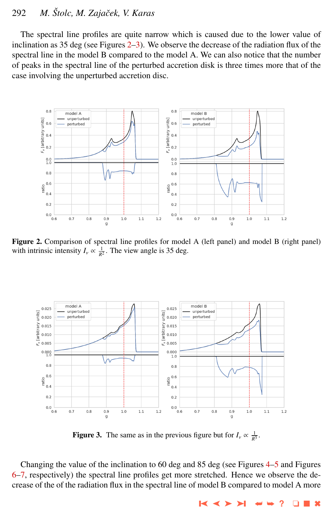### <span id="page-5-0"></span>292 *M. Stolc, M. Zajaˇcek, V. Karas ˇ*

The spectral line profiles are quite narrow which is caused due to the lower value of inclination as 35 deg (see Figures 2–3). We observe the decrease of the radiation flux of the spectral line in the model B compared to the model A. We can also notice that the number of peaks in the spectral line of the perturbed accretion disk is three times more that of the case involving the unperturbed accretion disc.



Figure 2. Comparison of spectral line profiles for model A (left panel) and model B (right panel) with intrinsic intensity  $I_v \propto \frac{1}{R^2}$ . The view angle is 35 deg.



**Figure 3.** The same as in the previous figure but for  $I_v \propto \frac{1}{R^3}$ .

Changing the value of the inclination to 60 deg and 85 deg (see Figures [4–5](#page-6-0) and Figures [6–7,](#page-7-0) respectively) the spectral line profiles get more stretched. Hence we observe the decrease of the of the radiation flux in the spectral line of model B compared to model A more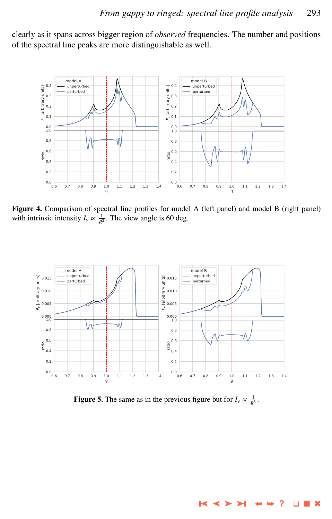<span id="page-6-0"></span>clearly as it spans across bigger region of *observed* frequencies. The number and positions of the spectral line peaks are more distinguishable as well.



Figure 4. Comparison of spectral line profiles for model A (left panel) and model B (right panel) with intrinsic intensity  $I_v \propto \frac{1}{R^2}$ . The view angle is 60 deg.



**Figure 5.** The same as in the previous figure but for  $I_v \propto \frac{1}{R^3}$ .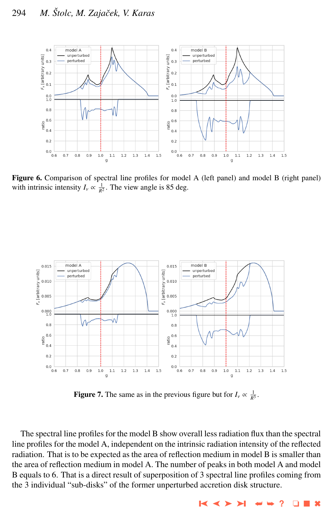<span id="page-7-0"></span>

Figure 6. Comparison of spectral line profiles for model A (left panel) and model B (right panel) with intrinsic intensity  $I_v \propto \frac{1}{R^2}$ . The view angle is 85 deg.



**Figure 7.** The same as in the previous figure but for  $I_v \propto \frac{1}{R^3}$ .

The spectral line profiles for the model B show overall less radiation flux than the spectral line profiles for the model A, independent on the intrinsic radiation intensity of the reflected radiation. That is to be expected as the area of reflection medium in model B is smaller than the area of reflection medium in model A. The number of peaks in both model A and model B equals to 6. That is a direct result of superposition of 3 spectral line profiles coming from the 3 individual "sub-disks" of the former unperturbed accretion disk structure.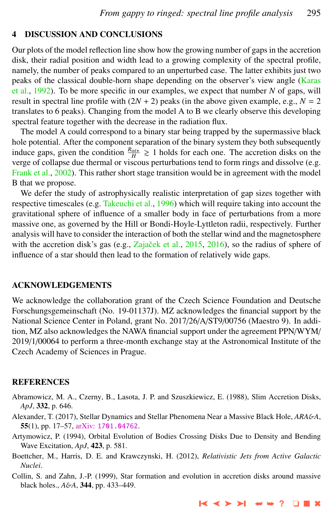#### <span id="page-8-0"></span>4 DISCUSSION AND CONCLUSIONS

Our plots of the model reflection line show how the growing number of gaps in the accretion disk, their radial position and width lead to a growing complexity of the spectral profile, namely, the number of peaks compared to an unperturbed case. The latter exhibits just two peaks of the classical double-horn shape depending on the observer's view angle [\(Karas](#page-9-0) [et al.,](#page-9-0) [1992\)](#page-9-0). To be more specific in our examples, we expect that number *N* of gaps, will result in spectral line profile with  $(2N + 2)$  peaks (in the above given example, e.g.,  $N = 2$ translates to 6 peaks). Changing from the model A to B we clearly observe this developing spectral feature together with the decrease in the radiation flux.

The model A could correspond to a binary star being trapped by the supermassive black hole potential. After the component separation of the binary system they both subsequently induce gaps, given the condition  $\frac{R_{\text{inf}}}{H} \ge 1$  holds for each one. The accretion disks on the verge of collapse due thermal or viscous perturbations tend to form rings and dissolve (e.g. [Frank et al.,](#page-9-0) [2002\)](#page-9-0). This rather short stage transition would be in agreement with the model B that we propose.

We defer the study of astrophysically realistic interpretation of gap sizes together with respective timescales (e.g. [Takeuchi et al.,](#page-10-0) [1996\)](#page-10-0) which will require taking into account the gravitational sphere of influence of a smaller body in face of perturbations from a more massive one, as governed by the Hill or Bondi-Hoyle-Lyttleton radii, respectively. Further analysis will have to consider the interaction of both the stellar wind and the magnetosphere with the accretion disk's gas (e.g., Zajaček et al., [2015,](#page-10-0) [2016\)](#page-10-0), so the radius of sphere of influence of a star should then lead to the formation of relatively wide gaps.

#### ACKNOWLEDGEMENTS

We acknowledge the collaboration grant of the Czech Science Foundation and Deutsche Forschungsgemeinschaft (No. 19-01137J). MZ acknowledges the financial support by the National Science Center in Poland, grant No. 2017/26/A/ST9/00756 (Maestro 9). In addition, MZ also acknowledges the NAWA financial support under the agreement PPN/WYM/ 2019/1/00064 to perform a three-month exchange stay at the Astronomical Institute of the Czech Academy of Sciences in Prague.

#### **REFERENCES**

- Abramowicz, M. A., Czerny, B., Lasota, J. P. and Szuszkiewicz, E. (1988), Slim Accretion Disks, *ApJ*, 332, p. 646.
- Alexander, T. (2017), Stellar Dynamics and Stellar Phenomena Near a Massive Black Hole, *ARA*&*A*, 55(1), pp. 17–57, arXiv: [1701.04762](http://www.arxiv.org/abs/1701.04762).
- Artymowicz, P. (1994), Orbital Evolution of Bodies Crossing Disks Due to Density and Bending Wave Excitation, *ApJ*, 423, p. 581.
- Boettcher, M., Harris, D. E. and Krawczynski, H. (2012), *Relativistic Jets from Active Galactic Nuclei*.
- Collin, S. and Zahn, J.-P. (1999), Star formation and evolution in accretion disks around massive black holes., *A*&*A*, 344, pp. 433–449.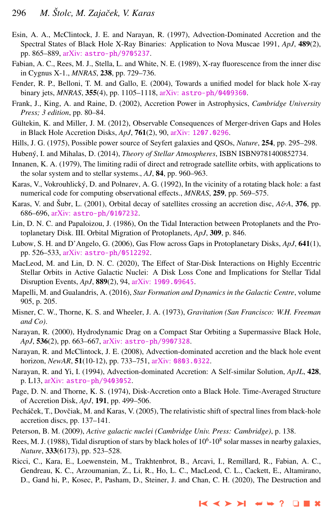- <span id="page-9-0"></span>Esin, A. A., McClintock, J. E. and Narayan, R. (1997), Advection-Dominated Accretion and the Spectral States of Black Hole X-Ray Binaries: Application to Nova Muscae 1991, *ApJ*, 489(2), pp. 865–889, arXiv: [astro-ph/9705237](http://www.arxiv.org/abs/astro-ph/9705237).
- Fabian, A. C., Rees, M. J., Stella, L. and White, N. E. (1989), X-ray fluorescence from the inner disc in Cygnus X-1., *MNRAS*, 238, pp. 729–736.
- Fender, R. P., Belloni, T. M. and Gallo, E. (2004), Towards a unified model for black hole X-ray binary jets, *MNRAS*, 355(4), pp. 1105–1118, arXiv: [astro-ph/0409360](http://www.arxiv.org/abs/astro-ph/0409360).
- Frank, J., King, A. and Raine, D. (2002), Accretion Power in Astrophysics, *Cambridge University Press; 3 edition*, pp. 80–84.
- Gültekin, K. and Miller, J. M. (2012), Observable Consequences of Merger-driven Gaps and Holes in Black Hole Accretion Disks, *ApJ*, 761(2), 90, arXiv: [1207.0296](http://www.arxiv.org/abs/1207.0296).
- Hills, J. G. (1975), Possible power source of Seyfert galaxies and QSOs, *Nature*, 254, pp. 295–298.
- Hubený, I. and Mihalas, D. (2014), *Theory of Stellar Atmospheres*, ISBN ISBN9781400852734.
- Innanen, K. A. (1979), The limiting radii of direct and retrograde satellite orbits, with applications to the solar system and to stellar systems., *AJ*, 84, pp. 960–963.
- Karas, V., Vokrouhlicky, D. and Polnarev, A. G. (1992), In the vicinity of a rotating black hole: a fast ´ numerical code for computing observational effects., *MNRAS*, 259, pp. 569–575.
- Karas, V. and Šubr, L. (2001), Orbital decay of satellites crossing an accretion disc,  $A\&A$ , 376, pp. 686–696, arXiv: [astro-ph/0107232](http://www.arxiv.org/abs/astro-ph/0107232).
- Lin, D. N. C. and Papaloizou, J. (1986), On the Tidal Interaction between Protoplanets and the Protoplanetary Disk. III. Orbital Migration of Protoplanets, *ApJ*, 309, p. 846.
- Lubow, S. H. and D'Angelo, G. (2006), Gas Flow across Gaps in Protoplanetary Disks, *ApJ*, 641(1), pp. 526–533, arXiv: [astro-ph/0512292](http://www.arxiv.org/abs/astro-ph/0512292).
- MacLeod, M. and Lin, D. N. C. (2020), The Effect of Star-Disk Interactions on Highly Eccentric Stellar Orbits in Active Galactic Nuclei: A Disk Loss Cone and Implications for Stellar Tidal Disruption Events, *ApJ*, 889(2), 94, arXiv: [1909.09645](http://www.arxiv.org/abs/1909.09645).
- Mapelli, M. and Gualandris, A. (2016), *Star Formation and Dynamics in the Galactic Centre*, volume 905, p. 205.
- Misner, C. W., Thorne, K. S. and Wheeler, J. A. (1973), *Gravitation (San Francisco: W.H. Freeman and Co)*.
- Narayan, R. (2000), Hydrodynamic Drag on a Compact Star Orbiting a Supermassive Black Hole, *ApJ*, 536(2), pp. 663–667, arXiv: [astro-ph/9907328](http://www.arxiv.org/abs/astro-ph/9907328).
- Narayan, R. and McClintock, J. E. (2008), Advection-dominated accretion and the black hole event horizon, *NewAR*, 51(10-12), pp. 733–751, arXiv: [0803.0322](http://www.arxiv.org/abs/0803.0322).
- Narayan, R. and Yi, I. (1994), Advection-dominated Accretion: A Self-similar Solution, *ApJL*, 428, p. L13, arXiv: [astro-ph/9403052](http://www.arxiv.org/abs/astro-ph/9403052).
- Page, D. N. and Thorne, K. S. (1974), Disk-Accretion onto a Black Hole. Time-Averaged Structure of Accretion Disk, *ApJ*, 191, pp. 499–506.
- Pecháček, T., Dovčiak, M. and Karas, V. (2005), The relativistic shift of spectral lines from black-hole accretion discs, pp. 137–141.
- Peterson, B. M. (2009), *Active galactic nuclei (Cambridge Univ. Press: Cambridge)*, p. 138.
- Rees, M. J. (1988), Tidal disruption of stars by black holes of  $10^6 \text{--} 10^8$  solar masses in nearby galaxies, *Nature*, 333(6173), pp. 523–528.
- Ricci, C., Kara, E., Loewenstein, M., Trakhtenbrot, B., Arcavi, I., Remillard, R., Fabian, A. C., Gendreau, K. C., Arzoumanian, Z., Li, R., Ho, L. C., MacLeod, C. L., Cackett, E., Altamirano, D., Gand hi, P., Kosec, P., Pasham, D., Steiner, J. and Chan, C. H. (2020), The Destruction and